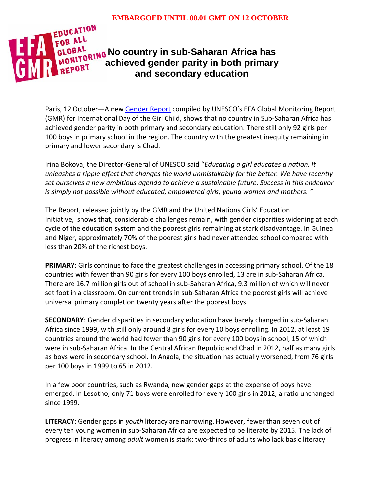

Paris, 12 October—A new [Gender Report](http://bitly.com/genderEFA) compiled by UNESCO's EFA Global Monitoring Report (GMR) for International Day of the Girl Child, shows that no country in Sub-Saharan Africa has achieved gender parity in both primary and secondary education. There still only 92 girls per 100 boys in primary school in the region. The country with the greatest inequity remaining in primary and lower secondary is Chad.

Irina Bokova, the Director-General of UNESCO said "*Educating a girl educates a nation. It unleashes a ripple effect that changes the world unmistakably for the better. We have recently set ourselves a new ambitious agenda to achieve a sustainable future. Success in this endeavor is simply not possible without educated, empowered girls, young women and mothers. "*

The Report, released jointly by the GMR and the United Nations Girls' Education Initiative, shows that, considerable challenges remain, with gender disparities widening at each cycle of the education system and the poorest girls remaining at stark disadvantage. In Guinea and Niger, approximately 70% of the poorest girls had never attended school compared with less than 20% of the richest boys.

**PRIMARY**: Girls continue to face the greatest challenges in accessing primary school. Of the 18 countries with fewer than 90 girls for every 100 boys enrolled, 13 are in sub-Saharan Africa. There are 16.7 million girls out of school in sub-Saharan Africa, 9.3 million of which will never set foot in a classroom. On current trends in sub-Saharan Africa the poorest girls will achieve universal primary completion twenty years after the poorest boys.

**SECONDARY**: Gender disparities in secondary education have barely changed in sub-Saharan Africa since 1999, with still only around 8 girls for every 10 boys enrolling. In 2012, at least 19 countries around the world had fewer than 90 girls for every 100 boys in school, 15 of which were in sub-Saharan Africa. In the Central African Republic and Chad in 2012, half as many girls as boys were in secondary school. In Angola, the situation has actually worsened, from 76 girls per 100 boys in 1999 to 65 in 2012.

In a few poor countries, such as Rwanda, new gender gaps at the expense of boys have emerged. In Lesotho, only 71 boys were enrolled for every 100 girls in 2012, a ratio unchanged since 1999.

**LITERACY**: Gender gaps in *youth* literacy are narrowing. However, fewer than seven out of every ten young women in sub-Saharan Africa are expected to be literate by 2015. The lack of progress in literacy among *adult* women is stark: two-thirds of adults who lack basic literacy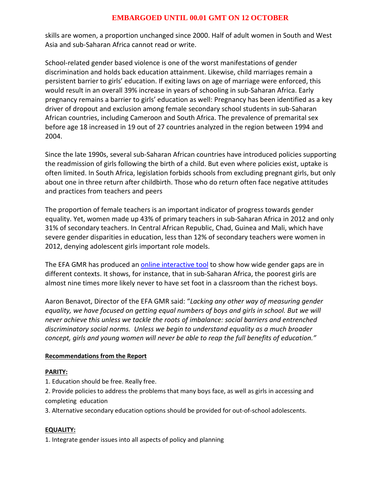## **EMBARGOED UNTIL 00.01 GMT ON 12 OCTOBER**

skills are women, a proportion unchanged since 2000. Half of adult women in South and West Asia and sub-Saharan Africa cannot read or write.

School-related gender based violence is one of the worst manifestations of gender discrimination and holds back education attainment. Likewise, child marriages remain a persistent barrier to girls' education. If exiting laws on age of marriage were enforced, this would result in an overall 39% increase in years of schooling in sub-Saharan Africa. Early pregnancy remains a barrier to girls' education as well: Pregnancy has been identified as a key driver of dropout and exclusion among female secondary school students in sub-Saharan African countries, including Cameroon and South Africa. The prevalence of premarital sex before age 18 increased in 19 out of 27 countries analyzed in the region between 1994 and 2004.

Since the late 1990s, several sub-Saharan African countries have introduced policies supporting the readmission of girls following the birth of a child. But even where policies exist, uptake is often limited. In South Africa, legislation forbids schools from excluding pregnant girls, but only about one in three return after childbirth. Those who do return often face negative attitudes and practices from teachers and peers

The proportion of female teachers is an important indicator of progress towards gender equality. Yet, women made up 43% of primary teachers in sub-Saharan Africa in 2012 and only 31% of secondary teachers. In Central African Republic, Chad, Guinea and Mali, which have severe gender disparities in education, less than 12% of secondary teachers were women in 2012, denying adolescent girls important role models.

The EFA GMR has produced an *online interactive tool* to show how wide gender gaps are in different contexts. It shows, for instance, that in sub-Saharan Africa, the poorest girls are almost nine times more likely never to have set foot in a classroom than the richest boys.

Aaron Benavot, Director of the EFA GMR said: "*Lacking any other way of measuring gender equality, we have focused on getting equal numbers of boys and girls in school. But we will never achieve this unless we tackle the roots of imbalance: social barriers and entrenched discriminatory social norms. Unless we begin to understand equality as a much broader concept, girls and young women will never be able to reap the full benefits of education."*

### **Recommendations from the Report**

### **PARITY:**

1. Education should be free. Really free.

2. Provide policies to address the problems that many boys face, as well as girls in accessing and completing education

3. Alternative secondary education options should be provided for out-of-school adolescents.

### **EQUALITY:**

1. Integrate gender issues into all aspects of policy and planning